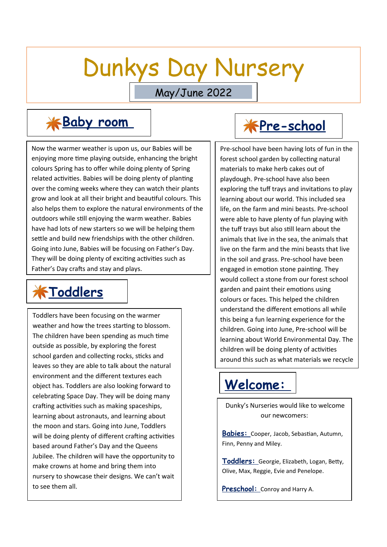# Dunkys Day Nursery

May/June 2022

Now the warmer weather is upon us, our Babies will be enjoying more time playing outside, enhancing the bright colours Spring has to offer while doing plenty of Spring related activities. Babies will be doing plenty of planting over the coming weeks where they can watch their plants grow and look at all their bright and beautiful colours. This also helps them to explore the natural environments of the outdoors while still enjoying the warm weather. Babies have had lots of new starters so we will be helping them settle and build new friendships with the other children. Going into June, Babies will be focusing on Father's Day. They will be doing plenty of exciting activities such as Father's Day crafts and stay and plays.

### **KToddlers**

**Toddlers have been focusing on the warmer** weather and how the trees starting to blossom. The children have been spending as much time outside as possible, by exploring the forest school garden and collecting rocks, sticks and leaves so they are able to talk about the natural environment and the different textures each object has. Toddlers are also looking forward to celebrating Space Day. They will be doing many crafting activities such as making spaceships, learning about astronauts, and learning about the moon and stars. Going into June, Toddlers will be doing plenty of different crafting activities based around Father's Day and the Queens Jubilee. The children will have the opportunity to make crowns at home and bring them into nursery to showcase their designs. We can't wait to see them all.

### **\*Baby room** | \*Pre-school

Pre-school have been having lots of fun in the forest school garden by collecting natural materials to make herb cakes out of playdough. Pre-school have also been exploring the tuff trays and invitations to play learning about our world. This included sea life, on the farm and mini beasts. Pre-school were able to have plenty of fun playing with the tuff trays but also still learn about the animals that live in the sea, the animals that live on the farm and the mini beasts that live in the soil and grass. Pre-school have been engaged in emotion stone painting. They would collect a stone from our forest school garden and paint their emotions using colours or faces. This helped the children understand the different emotions all while this being a fun learning experience for the children. Going into June, Pre-school will be learning about World Environmental Day. The children will be doing plenty of activities around this such as what materials we recycle

#### **Welcome:**

and why.

 Dunky's Nurseries would like to welcome our newcomers:

 **Babies:** Cooper, Jacob, Sebastian, Autumn, Finn, Penny and Miley.

 **Toddlers:** Georgie, Elizabeth, Logan, Betty, Olive, Max, Reggie, Evie and Penelope.

**Preschool:** Conroy and Harry A.